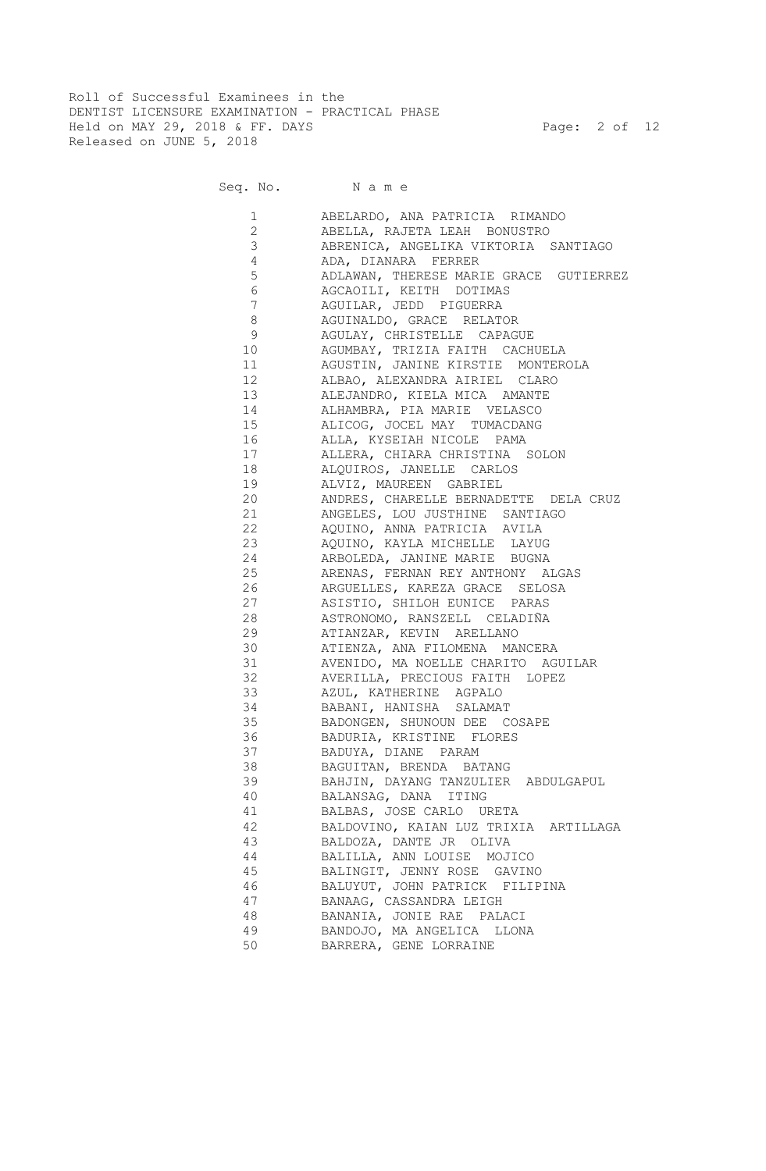Roll of Successful Examinees in the DENTIST LICENSURE EXAMINATION - PRACTICAL PHASE Held on MAY 29, 2018 & FF. DAYS Page: 2 of 12 Released on JUNE 5, 2018

Seq. No. N a m e

| 1              | ABELARDO, ANA PATRICIA RIMANDO         |
|----------------|----------------------------------------|
| $\overline{2}$ | ABELLA, RAJETA LEAH BONUSTRO           |
| 3              | ABRENICA, ANGELIKA VIKTORIA SANTIAGO   |
| 4              | ADA, DIANARA FERRER                    |
| 5              | ADLAWAN, THERESE MARIE GRACE GUTIERREZ |
| 6              | AGCAOILI, KEITH DOTIMAS                |
| 7              | AGUILAR, JEDD PIGUERRA                 |
| 8              | AGUINALDO, GRACE RELATOR               |
| 9              | AGULAY, CHRISTELLE CAPAGUE             |
| 10             | AGUMBAY, TRIZIA FAITH CACHUELA         |
| 11             | AGUSTIN, JANINE KIRSTIE MONTEROLA      |
|                | ALBAO, ALEXANDRA AIRIEL CLARO          |
|                | ALEJANDRO, KIELA MICA AMANTE           |
| 14 \,          | ALHAMBRA, PIA MARIE VELASCO            |
| 15 (1)         | ALICOG, JOCEL MAY TUMACDANG            |
|                | ALLA, KYSEIAH NICOLE PAMA              |
| 17             | ALLERA, CHIARA CHRISTINA SOLON         |
|                | ALQUIROS, JANELLE CARLOS               |
| 19             | ALVIZ, MAUREEN GABRIEL                 |
| 20             | ANDRES, CHARELLE BERNADETTE DELA CRUZ  |
| 21             | ANGELES, LOU JUSTHINE SANTIAGO         |
| 22             | AQUINO, ANNA PATRICIA AVILA            |
| 23             | AQUINO, KAYLA MICHELLE LAYUG           |
| 24             | ARBOLEDA, JANINE MARIE BUGNA           |
| 25             | ARENAS, FERNAN REY ANTHONY ALGAS       |
| 26             | ARGUELLES, KAREZA GRACE SELOSA         |
| 27             | ASISTIO, SHILOH EUNICE PARAS           |
| 28             | ASTRONOMO, RANSZELL CELADIÑA           |
| 29             | ATIANZAR, KEVIN ARELLANO               |
| 30             | ATIENZA, ANA FILOMENA MANCERA          |
| 31             | AVENIDO, MA NOELLE CHARITO AGUILAR     |
| 32             | AVERILLA, PRECIOUS FAITH LOPEZ         |
| 33             | AZUL, KATHERINE AGPALO                 |
| 34             | BABANI, HANISHA SALAMAT                |
| 35             | BADONGEN, SHUNOUN DEE COSAPE           |
| 36             | BADURIA, KRISTINE FLORES               |
| 37             | BADUYA, DIANE PARAM                    |
| 38             | BAGUITAN, BRENDA BATANG                |
| 39             | BAHJIN, DAYANG TANZULIER ABDULGAPUL    |
| 40             | BALANSAG, DANA ITING                   |
| 41             | BALBAS, JOSE CARLO URETA               |
| 42             | BALDOVINO, KAIAN LUZ TRIXIA ARTILLAGA  |
| 43             | BALDOZA, DANTE JR OLIVA                |
| 44             | BALILLA, ANN LOUISE MOJICO             |
| 45             | BALINGIT, JENNY ROSE GAVINO            |
| 46             | BALUYUT, JOHN PATRICK FILIPINA         |
| 47             | BANAAG, CASSANDRA LEIGH                |
| 48             | BANANIA, JONIE RAE PALACI              |
| 49             | BANDOJO, MA ANGELICA LLONA             |
| 50             | BARRERA, GENE LORRAINE                 |
|                |                                        |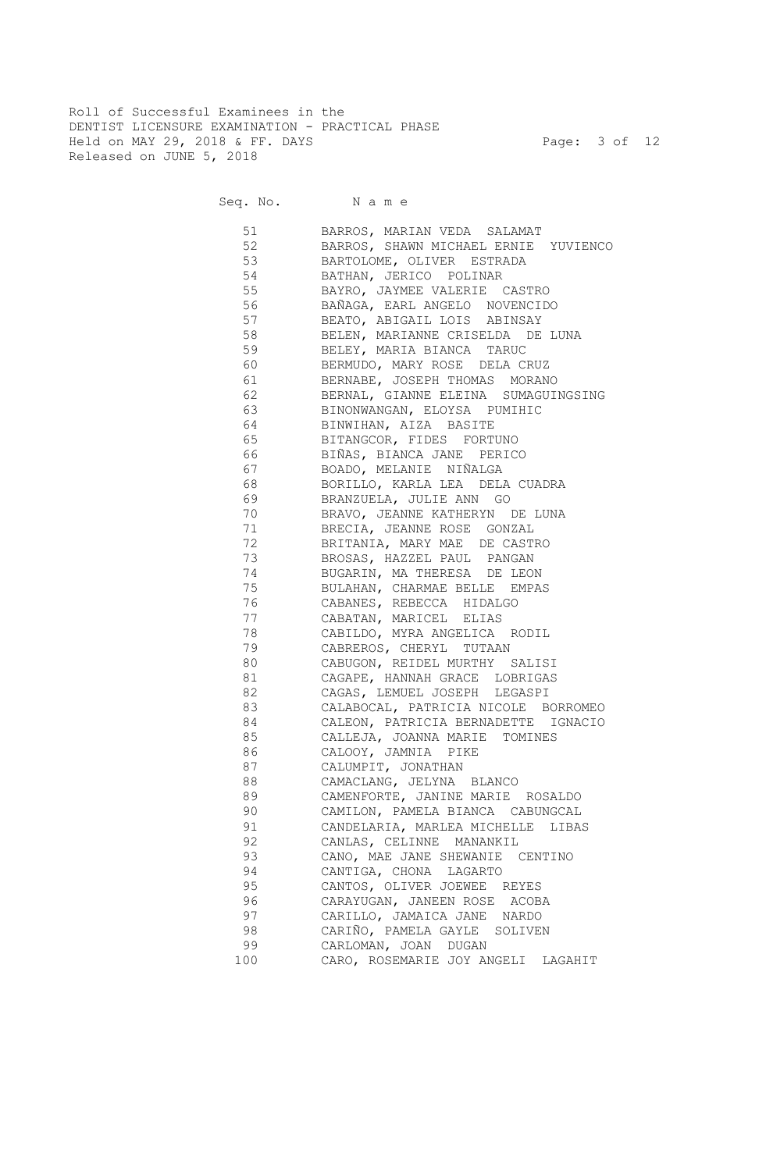Roll of Successful Examinees in the DENTIST LICENSURE EXAMINATION - PRACTICAL PHASE Held on MAY 29, 2018 & FF. DAYS Page: 3 of 12 Released on JUNE 5, 2018

Seq. No. Name

 51 BARROS, MARIAN VEDA SALAMAT 52 BARROS, SHAWN MICHAEL ERNIE YUVIENCO 53 BARTOLOME, OLIVER ESTRADA 54 BATHAN, JERICO POLINAR 55 BAYRO, JAYMEE VALERIE CASTRO 56 BAÑAGA, EARL ANGELO NOVENCIDO 57 BEATO, ABIGAIL LOIS ABINSAY 58 BELEN, MARIANNE CRISELDA DE LUNA 59 BELEY, MARIA BIANCA TARUC 60 BERMUDO, MARY ROSE DELA CRUZ 61 BERNABE, JOSEPH THOMAS MORANO 62 BERNAL, GIANNE ELEINA SUMAGUINGSING 63 BINONWANGAN, ELOYSA PUMIHIC 64 BINWIHAN, AIZA BASITE 65 BITANGCOR, FIDES FORTUNO 66 BIÑAS, BIANCA JANE PERICO 67 BOADO, MELANIE NIÑALGA 68 BORILLO, KARLA LEA DELA CUADRA 69 BRANZUELA, JULIE ANN GO 70 BRAVO, JEANNE KATHERYN DE LUNA 71 BRECIA, JEANNE ROSE GONZAL 72 BRITANIA, MARY MAE DE CASTRO 73 BROSAS, HAZZEL PAUL PANGAN 74 BUGARIN, MA THERESA DE LEON 75 BULAHAN, CHARMAE BELLE EMPAS 76 CABANES, REBECCA HIDALGO 77 CABATAN, MARICEL ELIAS 78 CABILDO, MYRA ANGELICA RODIL 79 CABREROS, CHERYL TUTAAN 80 CABUGON, REIDEL MURTHY SALISI 81 CAGAPE, HANNAH GRACE LOBRIGAS 82 CAGAS, LEMUEL JOSEPH LEGASPI 83 CALABOCAL, PATRICIA NICOLE BORROMEO 84 CALEON, PATRICIA BERNADETTE IGNACIO 85 CALLEJA, JOANNA MARIE TOMINES 86 CALOOY, JAMNIA PIKE 87 CALUMPIT, JONATHAN 88 CAMACLANG, JELYNA BLANCO 89 CAMENFORTE, JANINE MARIE ROSALDO 90 CAMILON, PAMELA BIANCA CABUNGCAL 91 CANDELARIA, MARLEA MICHELLE LIBAS 92 CANLAS, CELINNE MANANKIL 93 CANO, MAE JANE SHEWANIE CENTINO 94 CANTIGA, CHONA LAGARTO 95 CANTOS, OLIVER JOEWEE REYES 96 CARAYUGAN, JANEEN ROSE ACOBA 97 CARILLO, JAMAICA JANE NARDO 98 CARIÑO, PAMELA GAYLE SOLIVEN 99 CARLOMAN, JOAN DUGAN 100 CARO, ROSEMARIE JOY ANGELI LAGAHIT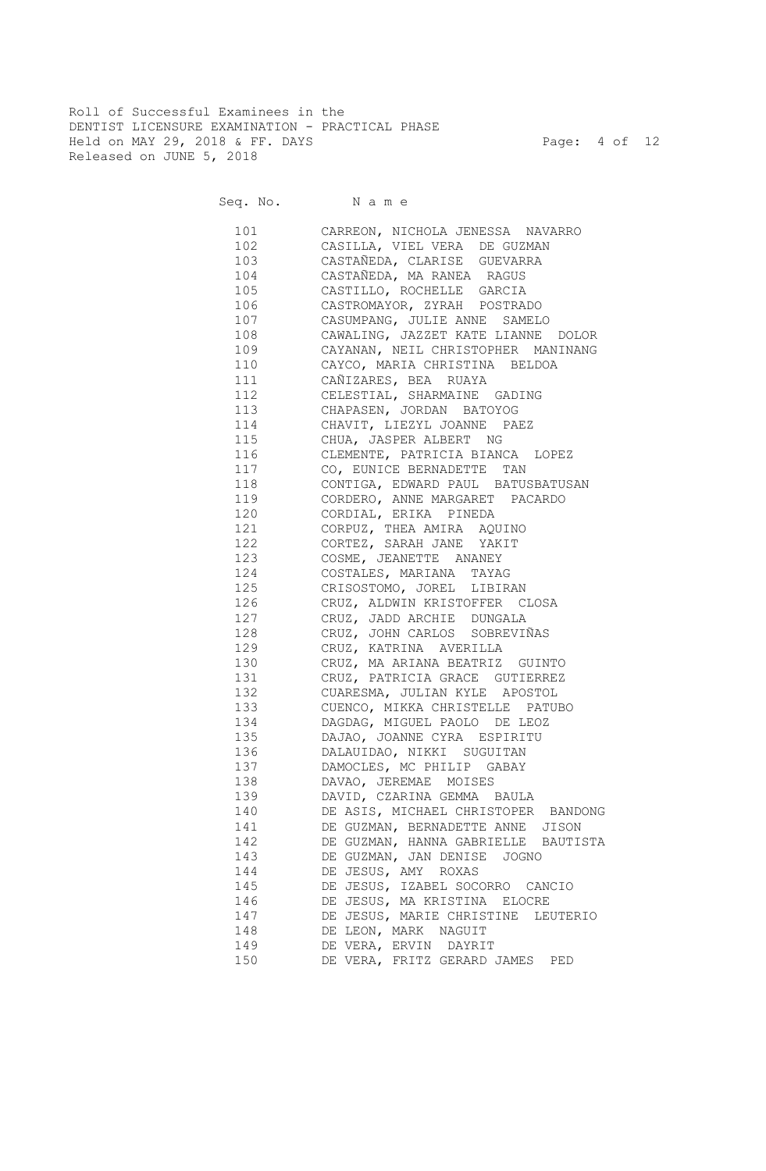Roll of Successful Examinees in the DENTIST LICENSURE EXAMINATION - PRACTICAL PHASE Held on MAY 29, 2018 & FF. DAYS Page: 4 of 12 Released on JUNE 5, 2018

Seq. No. Name

 101 CARREON, NICHOLA JENESSA NAVARRO 102 CASILLA, VIEL VERA DE GUZMAN 103 CASTAÑEDA, CLARISE GUEVARRA CASTAÑEDA, MA RANEA RAGUS 105 CASTILLO, ROCHELLE GARCIA 106 CASTROMAYOR, ZYRAH POSTRADO 107 CASUMPANG, JULIE ANNE SAMELO 108 CAWALING, JAZZET KATE LIANNE DOLOR 109 CAYANAN, NEIL CHRISTOPHER MANINANG 110 CAYCO, MARIA CHRISTINA BELDOA 111 CAÑIZARES, BEA RUAYA 112 CELESTIAL, SHARMAINE GADING 113 CHAPASEN, JORDAN BATOYOG 114 CHAVIT, LIEZYL JOANNE PAEZ 115 CHUA, JASPER ALBERT NG 116 CLEMENTE, PATRICIA BIANCA LOPEZ 117 CO, EUNICE BERNADETTE TAN 118 CONTIGA, EDWARD PAUL BATUSBATUSAN 119 CORDERO, ANNE MARGARET PACARDO 120 CORDIAL, ERIKA PINEDA 121 CORPUZ, THEA AMIRA AQUINO 122 CORTEZ, SARAH JANE YAKIT 123 COSME, JEANETTE ANANEY 124 COSTALES, MARIANA TAYAG 125 CRISOSTOMO, JOREL LIBIRAN 126 CRUZ, ALDWIN KRISTOFFER CLOSA 127 CRUZ, JADD ARCHIE DUNGALA 128 CRUZ, JOHN CARLOS SOBREVIÑAS 129 CRUZ, KATRINA AVERILLA 130 CRUZ, MA ARIANA BEATRIZ GUINTO 131 CRUZ, PATRICIA GRACE GUTIERREZ 132 CUARESMA, JULIAN KYLE APOSTOL 133 CUENCO, MIKKA CHRISTELLE PATUBO 134 DAGDAG, MIGUEL PAOLO DE LEOZ 135 DAJAO, JOANNE CYRA ESPIRITU 136 DALAUIDAO, NIKKI SUGUITAN 137 DAMOCLES, MC PHILIP GABAY 138 DAVAO, JEREMAE MOISES 139 DAVID, CZARINA GEMMA BAULA 140 DE ASIS, MICHAEL CHRISTOPER BANDONG 141 DE GUZMAN, BERNADETTE ANNE JISON 142 DE GUZMAN, HANNA GABRIELLE BAUTISTA 143 DE GUZMAN, JAN DENISE JOGNO 144 DE JESUS, AMY ROXAS 145 DE JESUS, IZABEL SOCORRO CANCIO 146 DE JESUS, MA KRISTINA ELOCRE 147 DE JESUS, MARIE CHRISTINE LEUTERIO 148 DE LEON, MARK NAGUIT 149 DE VERA, ERVIN DAYRIT 150 DE VERA, FRITZ GERARD JAMES PED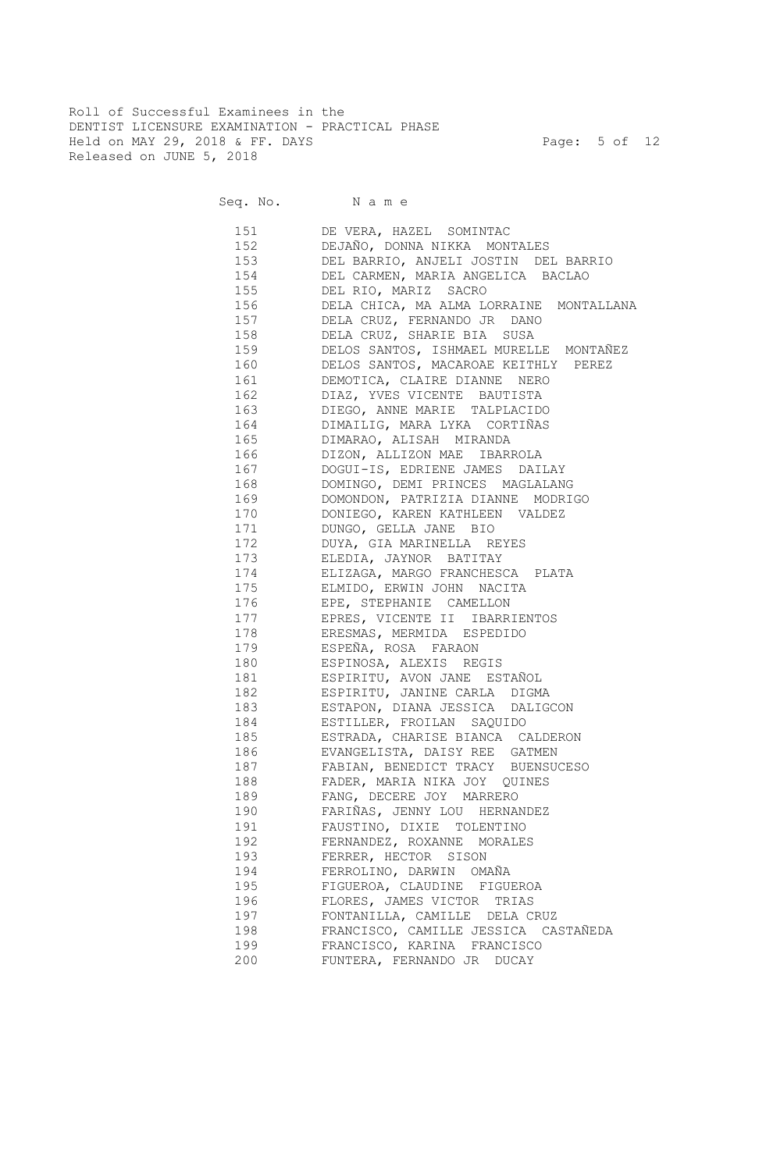Roll of Successful Examinees in the DENTIST LICENSURE EXAMINATION - PRACTICAL PHASE Held on MAY 29, 2018 & FF. DAYS Page: 5 of 12 Released on JUNE 5, 2018

Seq. No. Name

 151 DE VERA, HAZEL SOMINTAC 152 DEJAÑO, DONNA NIKKA MONTALES 153 DEL BARRIO, ANJELI JOSTIN DEL BARRIO 154 DEL CARMEN, MARIA ANGELICA BACLAO 155 DEL RIO, MARIZ SACRO 156 DELA CHICA, MA ALMA LORRAINE MONTALLANA 157 DELA CRUZ, FERNANDO JR DANO 158 DELA CRUZ, SHARIE BIA SUSA 159 DELOS SANTOS, ISHMAEL MURELLE MONTAÑEZ 160 DELOS SANTOS, MACAROAE KEITHLY PEREZ 161 DEMOTICA, CLAIRE DIANNE NERO 162 DIAZ, YVES VICENTE BAUTISTA 163 DIEGO, ANNE MARIE TALPLACIDO 164 DIMAILIG, MARA LYKA CORTIÑAS 165 DIMARAO, ALISAH MIRANDA 166 DIZON, ALLIZON MAE IBARROLA 167 DOGUI-IS, EDRIENE JAMES DAILAY 168 DOMINGO, DEMI PRINCES MAGLALANG 169 DOMONDON, PATRIZIA DIANNE MODRIGO 170 DONIEGO, KAREN KATHLEEN VALDEZ 171 DUNGO, GELLA JANE BIO 172 DUYA, GIA MARINELLA REYES 173 ELEDIA, JAYNOR BATITAY 174 ELIZAGA, MARGO FRANCHESCA PLATA 175 ELMIDO, ERWIN JOHN NACITA 176 EPE, STEPHANIE CAMELLON 177 EPRES, VICENTE II IBARRIENTOS 178 ERESMAS, MERMIDA ESPEDIDO 179 ESPEÑA, ROSA FARAON 180 ESPINOSA, ALEXIS REGIS 181 ESPIRITU, AVON JANE ESTAÑOL 182 ESPIRITU, JANINE CARLA DIGMA 183 ESTAPON, DIANA JESSICA DALIGCON 184 ESTILLER, FROILAN SAQUIDO 185 ESTRADA, CHARISE BIANCA CALDERON 186 EVANGELISTA, DAISY REE GATMEN 187 FABIAN, BENEDICT TRACY BUENSUCESO 188 FADER, MARIA NIKA JOY QUINES 189 FANG, DECERE JOY MARRERO 190 FARIÑAS, JENNY LOU HERNANDEZ 191 FAUSTINO, DIXIE TOLENTINO 192 FERNANDEZ, ROXANNE MORALES 193 FERRER, HECTOR SISON 194 FERROLINO, DARWIN OMAÑA 195 FIGUEROA, CLAUDINE FIGUEROA 196 FLORES, JAMES VICTOR TRIAS 197 FONTANILLA, CAMILLE DELA CRUZ 198 FRANCISCO, CAMILLE JESSICA CASTAÑEDA 199 FRANCISCO, KARINA FRANCISCO 200 FUNTERA, FERNANDO JR DUCAY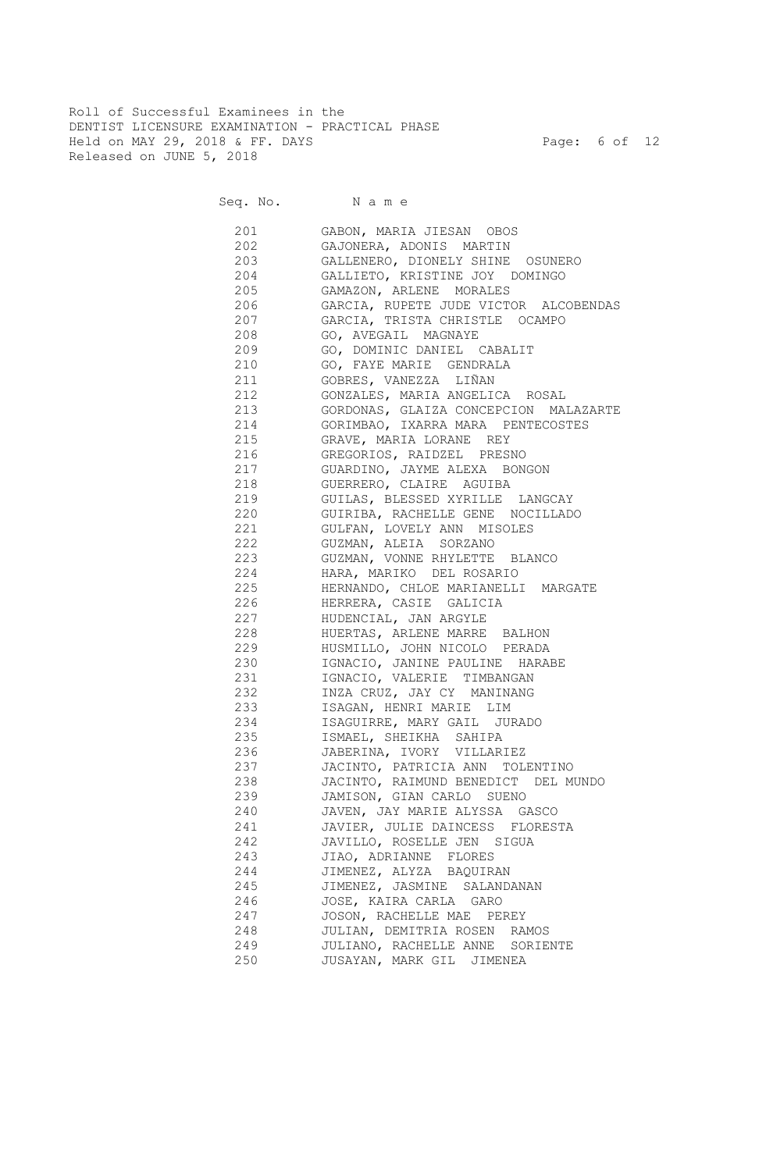Roll of Successful Examinees in the DENTIST LICENSURE EXAMINATION - PRACTICAL PHASE Held on MAY 29, 2018 & FF. DAYS Page: 6 of 12 Released on JUNE 5, 2018

Seq. No. Name

 201 GABON, MARIA JIESAN OBOS 202 GAJONERA, ADONIS MARTIN 203 GALLENERO, DIONELY SHINE OSUNERO 204 GALLIETO, KRISTINE JOY DOMINGO 205 GAMAZON, ARLENE MORALES 206 GARCIA, RUPETE JUDE VICTOR ALCOBENDAS 207 GARCIA, TRISTA CHRISTLE OCAMPO 208 GO, AVEGAIL MAGNAYE 209 GO, DOMINIC DANIEL CABALIT 210 GO, FAYE MARIE GENDRALA 211 GOBRES, VANEZZA LIÑAN 212 GONZALES, MARIA ANGELICA ROSAL 213 GORDONAS, GLAIZA CONCEPCION MALAZARTE 214 GORIMBAO, IXARRA MARA PENTECOSTES 215 GRAVE, MARIA LORANE REY 216 GREGORIOS, RAIDZEL PRESNO 217 GUARDINO, JAYME ALEXA BONGON 218 GUERRERO, CLAIRE AGUIBA 219 GUILAS, BLESSED XYRILLE LANGCAY 220 GUIRIBA, RACHELLE GENE NOCILLADO 221 GULFAN, LOVELY ANN MISOLES 222 GUZMAN, ALEIA SORZANO 223 GUZMAN, VONNE RHYLETTE BLANCO 224 HARA, MARIKO DEL ROSARIO 225 HERNANDO, CHLOE MARIANELLI MARGATE 226 HERRERA, CASIE GALICIA 227 HUDENCIAL, JAN ARGYLE 228 HUERTAS, ARLENE MARRE BALHON 229 HUSMILLO, JOHN NICOLO PERADA 230 IGNACIO, JANINE PAULINE HARABE 231 IGNACIO, VALERIE TIMBANGAN 232 INZA CRUZ, JAY CY MANINANG 233 ISAGAN, HENRI MARIE LIM 234 ISAGUIRRE, MARY GAIL JURADO 235 ISMAEL, SHEIKHA SAHIPA 236 JABERINA, IVORY VILLARIEZ 237 JACINTO, PATRICIA ANN TOLENTINO 238 JACINTO, RAIMUND BENEDICT DEL MUNDO 239 JAMISON, GIAN CARLO SUENO 240 JAVEN, JAY MARIE ALYSSA GASCO 241 JAVIER, JULIE DAINCESS FLORESTA 242 JAVILLO, ROSELLE JEN SIGUA 243 JIAO, ADRIANNE FLORES 244 JIMENEZ, ALYZA BAQUIRAN 245 JIMENEZ, JASMINE SALANDANAN 246 JOSE, KAIRA CARLA GARO 247 JOSON, RACHELLE MAE PEREY 248 JULIAN, DEMITRIA ROSEN RAMOS 249 JULIANO, RACHELLE ANNE SORIENTE 250 JUSAYAN, MARK GIL JIMENEA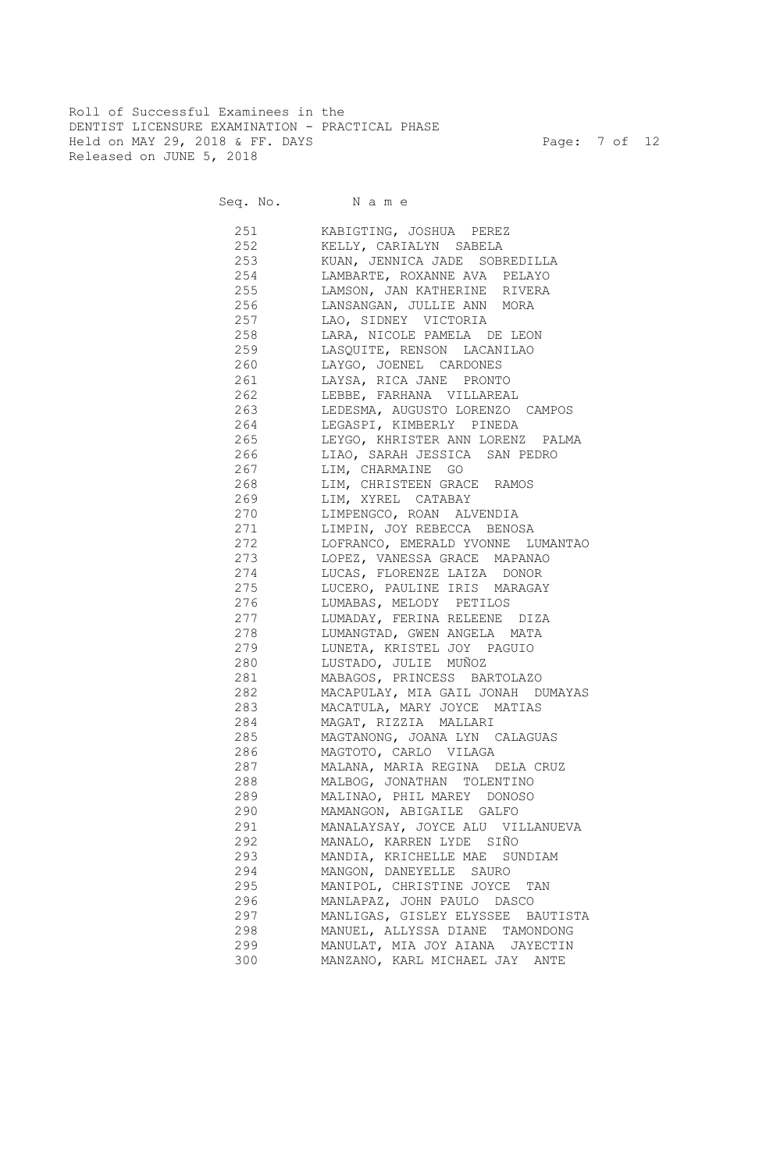Roll of Successful Examinees in the DENTIST LICENSURE EXAMINATION - PRACTICAL PHASE Held on MAY 29, 2018 & FF. DAYS Page: 7 of 12 Released on JUNE 5, 2018

Seq. No. Name

 251 KABIGTING, JOSHUA PEREZ 252 KELLY, CARIALYN SABELA 253 KUAN, JENNICA JADE SOBREDILLA 254 LAMBARTE, ROXANNE AVA PELAYO 255 LAMSON, JAN KATHERINE RIVERA 256 LANSANGAN, JULLIE ANN MORA 257 LAO, SIDNEY VICTORIA 258 LARA, NICOLE PAMELA DE LEON 259 LASQUITE, RENSON LACANILAO 260 LAYGO, JOENEL CARDONES 261 LAYSA, RICA JANE PRONTO 262 LEBBE, FARHANA VILLAREAL 263 LEDESMA, AUGUSTO LORENZO CAMPOS 264 LEGASPI, KIMBERLY PINEDA 265 LEYGO, KHRISTER ANN LORENZ PALMA 266 LIAO, SARAH JESSICA SAN PEDRO 267 LIM, CHARMAINE GO 268 LIM, CHRISTEEN GRACE RAMOS 269 LIM, XYREL CATABAY 270 LIMPENGCO, ROAN ALVENDIA 271 LIMPIN, JOY REBECCA BENOSA 272 LOFRANCO, EMERALD YVONNE LUMANTAO 273 LOPEZ, VANESSA GRACE MAPANAO 274 LUCAS, FLORENZE LAIZA DONOR 275 LUCERO, PAULINE IRIS MARAGAY 276 LUMABAS, MELODY PETILOS 277 LUMADAY, FERINA RELEENE DIZA 278 LUMANGTAD, GWEN ANGELA MATA 279 LUNETA, KRISTEL JOY PAGUIO 280 LUSTADO, JULIE MUÑOZ 281 MABAGOS, PRINCESS BARTOLAZO 282 MACAPULAY, MIA GAIL JONAH DUMAYAS 283 MACATULA, MARY JOYCE MATIAS 284 MAGAT, RIZZIA MALLARI 285 MAGTANONG, JOANA LYN CALAGUAS 286 MAGTOTO, CARLO VILAGA 287 MALANA, MARIA REGINA DELA CRUZ 288 MALBOG, JONATHAN TOLENTINO 289 MALINAO, PHIL MAREY DONOSO 290 MAMANGON, ABIGAILE GALFO 291 MANALAYSAY, JOYCE ALU VILLANUEVA 292 MANALO, KARREN LYDE SIÑO 293 MANDIA, KRICHELLE MAE SUNDIAM 294 MANGON, DANEYELLE SAURO 295 MANIPOL, CHRISTINE JOYCE TAN 296 MANLAPAZ, JOHN PAULO DASCO 297 MANLIGAS, GISLEY ELYSSEE BAUTISTA 298 MANUEL, ALLYSSA DIANE TAMONDONG 299 MANULAT, MIA JOY AIANA JAYECTIN 300 MANZANO, KARL MICHAEL JAY ANTE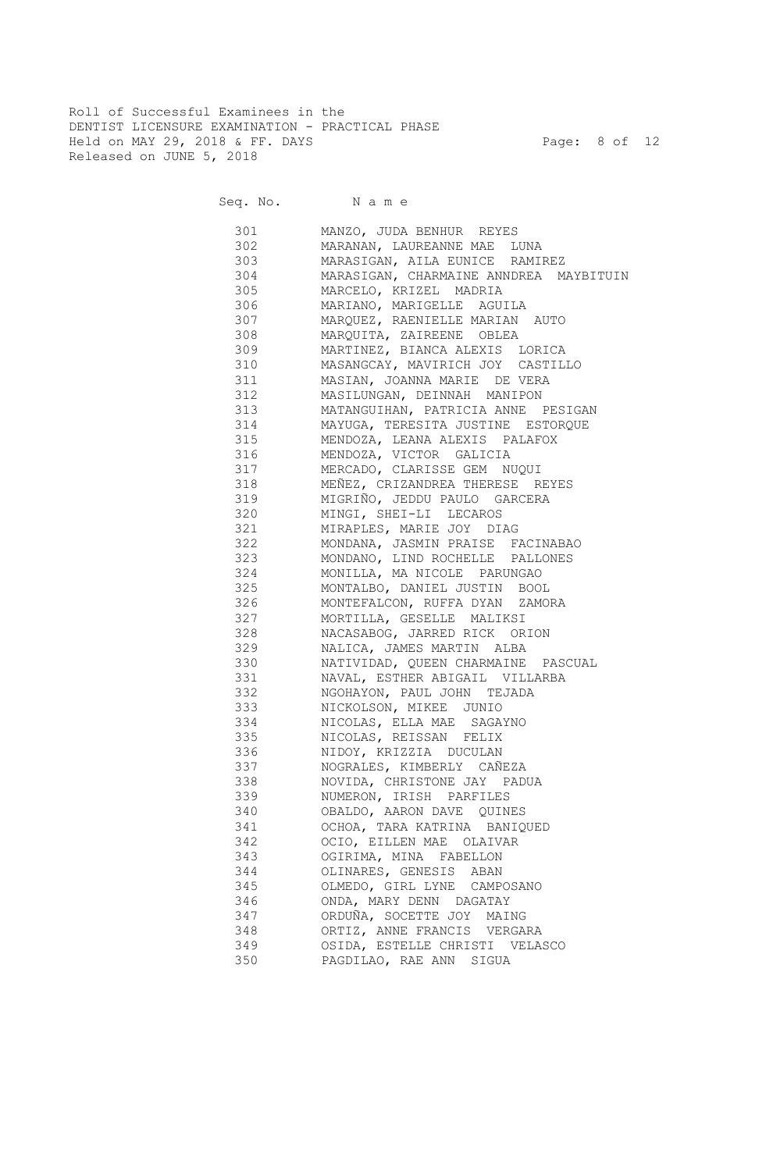Roll of Successful Examinees in the DENTIST LICENSURE EXAMINATION - PRACTICAL PHASE Held on MAY 29, 2018 & FF. DAYS Page: 8 of 12 Released on JUNE 5, 2018

Seq. No. Name

 301 MANZO, JUDA BENHUR REYES 302 MARANAN, LAUREANNE MAE LUNA 303 MARASIGAN, AILA EUNICE RAMIREZ MARASIGAN, CHARMAINE ANNDREA MAYBITUIN 305 MARCELO, KRIZEL MADRIA 306 MARIANO, MARIGELLE AGUILA 307 MARQUEZ, RAENIELLE MARIAN AUTO 308 MARQUITA, ZAIREENE OBLEA 309 MARTINEZ, BIANCA ALEXIS LORICA 310 MASANGCAY, MAVIRICH JOY CASTILLO 311 MASIAN, JOANNA MARIE DE VERA 312 MASILUNGAN, DEINNAH MANIPON 313 MATANGUIHAN, PATRICIA ANNE PESIGAN 314 MAYUGA, TERESITA JUSTINE ESTORQUE 315 MENDOZA, LEANA ALEXIS PALAFOX 316 MENDOZA, VICTOR GALICIA 317 MERCADO, CLARISSE GEM NUQUI 318 MEÑEZ, CRIZANDREA THERESE REYES 319 MIGRIÑO, JEDDU PAULO GARCERA 320 MINGI, SHEI-LI LECAROS 321 MIRAPLES, MARIE JOY DIAG 322 MONDANA, JASMIN PRAISE FACINABAO 323 MONDANO, LIND ROCHELLE PALLONES 324 MONILLA, MA NICOLE PARUNGAO 325 MONTALBO, DANIEL JUSTIN BOOL 326 MONTEFALCON, RUFFA DYAN ZAMORA 327 MORTILLA, GESELLE MALIKSI 328 NACASABOG, JARRED RICK ORION 329 NALICA, JAMES MARTIN ALBA 330 NATIVIDAD, QUEEN CHARMAINE PASCUAL 331 NAVAL, ESTHER ABIGAIL VILLARBA 332 NGOHAYON, PAUL JOHN TEJADA 333 NICKOLSON, MIKEE JUNIO 334 NICOLAS, ELLA MAE SAGAYNO 335 NICOLAS, REISSAN FELIX 336 NIDOY, KRIZZIA DUCULAN 337 NOGRALES, KIMBERLY CAÑEZA 338 NOVIDA, CHRISTONE JAY PADUA 339 NUMERON, IRISH PARFILES 340 OBALDO, AARON DAVE QUINES 341 OCHOA, TARA KATRINA BANIQUED 342 OCIO, EILLEN MAE OLAIVAR 343 OGIRIMA, MINA FABELLON 344 OLINARES, GENESIS ABAN 345 OLMEDO, GIRL LYNE CAMPOSANO 346 ONDA, MARY DENN DAGATAY 347 ORDUÑA, SOCETTE JOY MAING 348 ORTIZ, ANNE FRANCIS VERGARA 349 OSIDA, ESTELLE CHRISTI VELASCO 350 PAGDILAO, RAE ANN SIGUA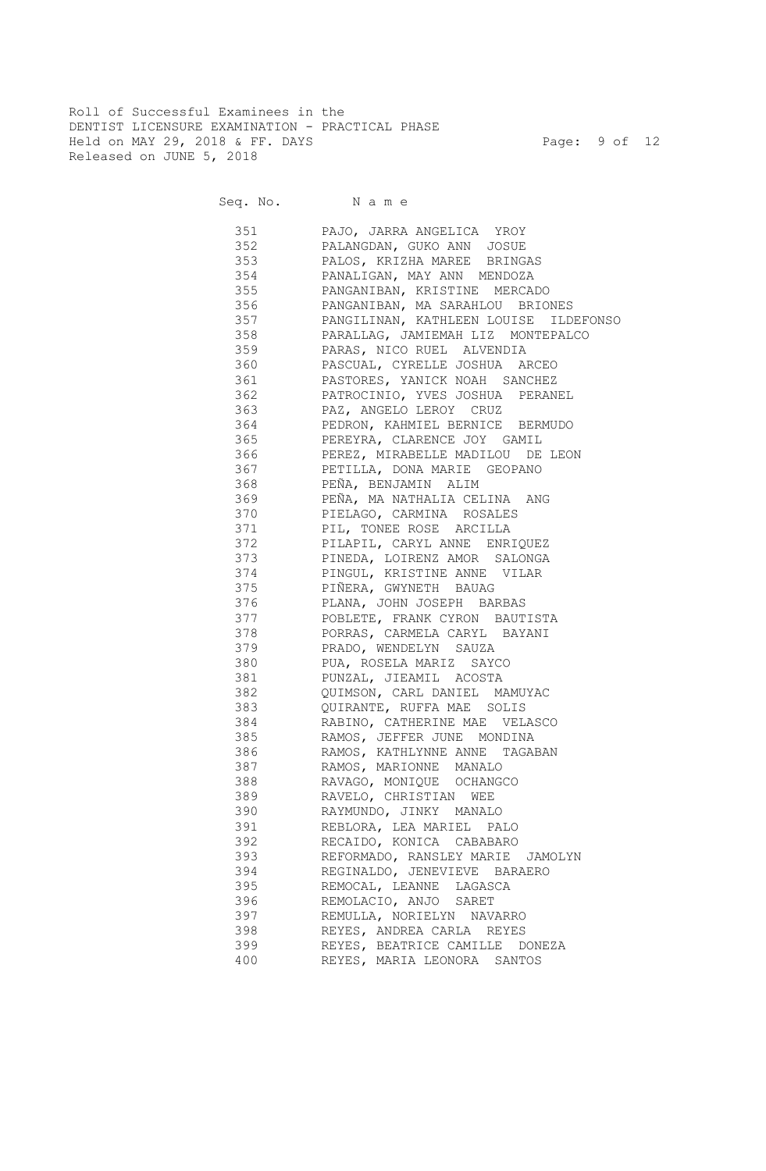Roll of Successful Examinees in the DENTIST LICENSURE EXAMINATION - PRACTICAL PHASE Held on MAY 29, 2018 & FF. DAYS Page: 9 of 12 Released on JUNE 5, 2018

Seq. No. Name

 351 PAJO, JARRA ANGELICA YROY 352 PALANGDAN, GUKO ANN JOSUE 353 PALOS, KRIZHA MAREE BRINGAS 354 PANALIGAN, MAY ANN MENDOZA 355 PANGANIBAN, KRISTINE MERCADO 356 PANGANIBAN, MA SARAHLOU BRIONES 357 PANGILINAN, KATHLEEN LOUISE ILDEFONSO 358 PARALLAG, JAMIEMAH LIZ MONTEPALCO 359 PARAS, NICO RUEL ALVENDIA 360 PASCUAL, CYRELLE JOSHUA ARCEO 361 PASTORES, YANICK NOAH SANCHEZ 362 PATROCINIO, YVES JOSHUA PERANEL 363 PAZ, ANGELO LEROY CRUZ 364 PEDRON, KAHMIEL BERNICE BERMUDO 365 PEREYRA, CLARENCE JOY GAMIL 366 PEREZ, MIRABELLE MADILOU DE LEON 367 PETILLA, DONA MARIE GEOPANO 368 PEÑA, BENJAMIN ALIM 369 PEÑA, MA NATHALIA CELINA ANG 370 PIELAGO, CARMINA ROSALES 371 PIL, TONEE ROSE ARCILLA 372 PILAPIL, CARYL ANNE ENRIQUEZ 373 PINEDA, LOIRENZ AMOR SALONGA 374 PINGUL, KRISTINE ANNE VILAR 375 PIÑERA, GWYNETH BAUAG 376 PLANA, JOHN JOSEPH BARBAS 377 POBLETE, FRANK CYRON BAUTISTA 378 PORRAS, CARMELA CARYL BAYANI 379 PRADO, WENDELYN SAUZA 380 PUA, ROSELA MARIZ SAYCO 381 PUNZAL, JIEAMIL ACOSTA 382 QUIMSON, CARL DANIEL MAMUYAC 383 QUIRANTE, RUFFA MAE SOLIS 384 RABINO, CATHERINE MAE VELASCO 385 RAMOS, JEFFER JUNE MONDINA 386 RAMOS, KATHLYNNE ANNE TAGABAN 387 RAMOS, MARIONNE MANALO 388 RAVAGO, MONIQUE OCHANGCO 389 RAVELO, CHRISTIAN WEE 390 RAYMUNDO, JINKY MANALO 391 REBLORA, LEA MARIEL PALO 392 RECAIDO, KONICA CABABARO 393 REFORMADO, RANSLEY MARIE JAMOLYN 394 REGINALDO, JENEVIEVE BARAERO 395 REMOCAL, LEANNE LAGASCA 396 REMOLACIO, ANJO SARET 397 REMULLA, NORIELYN NAVARRO 398 REYES, ANDREA CARLA REYES 399 REYES, BEATRICE CAMILLE DONEZA 400 REYES, MARIA LEONORA SANTOS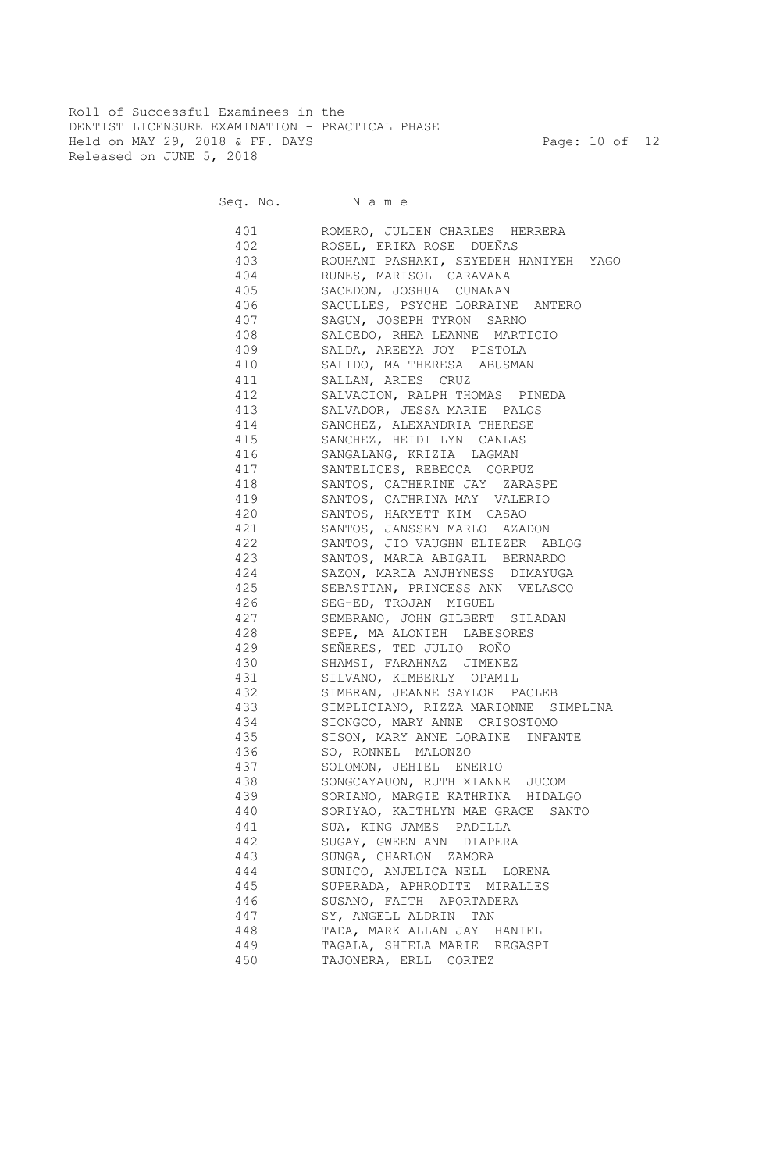Roll of Successful Examinees in the DENTIST LICENSURE EXAMINATION - PRACTICAL PHASE Held on MAY 29, 2018 & FF. DAYS Page: 10 of 12 Released on JUNE 5, 2018

Seq. No. Name

 401 ROMERO, JULIEN CHARLES HERRERA 402 ROSEL, ERIKA ROSE DUEÑAS 403 ROUHANI PASHAKI, SEYEDEH HANIYEH YAGO 404 RUNES, MARISOL CARAVANA 405 SACEDON, JOSHUA CUNANAN 406 SACULLES, PSYCHE LORRAINE ANTERO 407 SAGUN, JOSEPH TYRON SARNO 408 SALCEDO, RHEA LEANNE MARTICIO 409 SALDA, AREEYA JOY PISTOLA 410 SALIDO, MA THERESA ABUSMAN 411 SALLAN, ARIES CRUZ 412 SALVACION, RALPH THOMAS PINEDA 413 SALVADOR, JESSA MARIE PALOS 414 SANCHEZ, ALEXANDRIA THERESE 415 SANCHEZ, HEIDI LYN CANLAS 416 SANGALANG, KRIZIA LAGMAN 417 SANTELICES, REBECCA CORPUZ 418 SANTOS, CATHERINE JAY ZARASPE 419 SANTOS, CATHRINA MAY VALERIO 420 SANTOS, HARYETT KIM CASAO 421 SANTOS, JANSSEN MARLO AZADON 422 SANTOS, JIO VAUGHN ELIEZER ABLOG 423 SANTOS, MARIA ABIGAIL BERNARDO 424 SAZON, MARIA ANJHYNESS DIMAYUGA 425 SEBASTIAN, PRINCESS ANN VELASCO 426 SEG-ED, TROJAN MIGUEL 427 SEMBRANO, JOHN GILBERT SILADAN 428 SEPE, MA ALONIEH LABESORES 429 SEÑERES, TED JULIO ROÑO 430 SHAMSI, FARAHNAZ JIMENEZ 431 SILVANO, KIMBERLY OPAMIL 432 SIMBRAN, JEANNE SAYLOR PACLEB 433 SIMPLICIANO, RIZZA MARIONNE SIMPLINA 434 SIONGCO, MARY ANNE CRISOSTOMO 435 SISON, MARY ANNE LORAINE INFANTE 436 SO, RONNEL MALONZO 437 SOLOMON, JEHIEL ENERIO 438 SONGCAYAUON, RUTH XIANNE JUCOM 439 SORIANO, MARGIE KATHRINA HIDALGO 440 SORIYAO, KAITHLYN MAE GRACE SANTO 441 SUA, KING JAMES PADILLA 442 SUGAY, GWEEN ANN DIAPERA 443 SUNGA, CHARLON ZAMORA 444 SUNICO, ANJELICA NELL LORENA 445 SUPERADA, APHRODITE MIRALLES 446 SUSANO, FAITH APORTADERA 447 SY, ANGELL ALDRIN TAN 448 TADA, MARK ALLAN JAY HANIEL 449 TAGALA, SHIELA MARIE REGASPI 450 TAJONERA, ERLL CORTEZ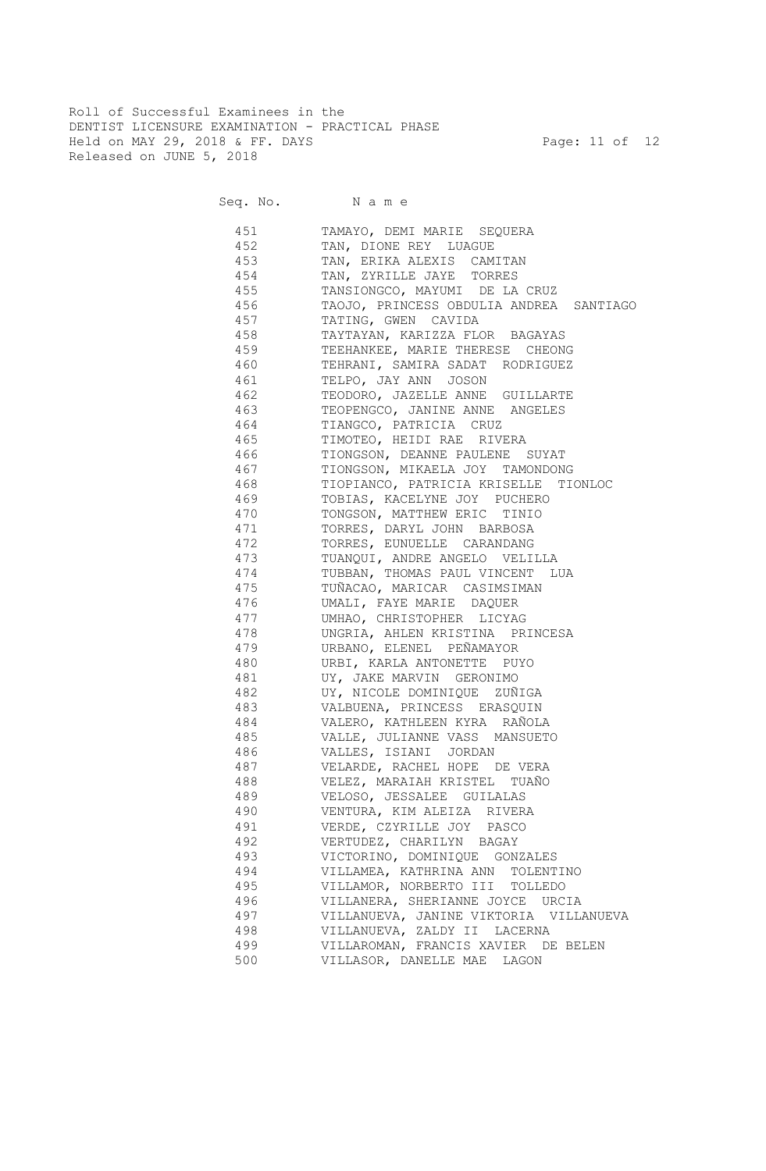Roll of Successful Examinees in the DENTIST LICENSURE EXAMINATION - PRACTICAL PHASE Held on MAY 29, 2018 & FF. DAYS Page: 11 of 12 Released on JUNE 5, 2018

Seq. No. Name

 451 TAMAYO, DEMI MARIE SEQUERA 452 TAN, DIONE REY LUAGUE 453 TAN, ERIKA ALEXIS CAMITAN 454 TAN, ZYRILLE JAYE TORRES 455 TANSIONGCO, MAYUMI DE LA CRUZ 456 TAOJO, PRINCESS OBDULIA ANDREA SANTIAGO 457 TATING, GWEN CAVIDA 458 TAYTAYAN, KARIZZA FLOR BAGAYAS 459 TEEHANKEE, MARIE THERESE CHEONG 460 TEHRANI, SAMIRA SADAT RODRIGUEZ 461 TELPO, JAY ANN JOSON 462 TEODORO, JAZELLE ANNE GUILLARTE 463 TEOPENGCO, JANINE ANNE ANGELES 464 TIANGCO, PATRICIA CRUZ 465 TIMOTEO, HEIDI RAE RIVERA 466 TIONGSON, DEANNE PAULENE SUYAT 467 TIONGSON, MIKAELA JOY TAMONDONG 468 TIOPIANCO, PATRICIA KRISELLE TIONLOC 469 TOBIAS, KACELYNE JOY PUCHERO 470 TONGSON, MATTHEW ERIC TINIO 471 TORRES, DARYL JOHN BARBOSA 472 TORRES, EUNUELLE CARANDANG 473 TUANQUI, ANDRE ANGELO VELILLA 474 TUBBAN, THOMAS PAUL VINCENT LUA 475 TUÑACAO, MARICAR CASIMSIMAN 476 UMALI, FAYE MARIE DAQUER 477 UMHAO, CHRISTOPHER LICYAG 478 UNGRIA, AHLEN KRISTINA PRINCESA 479 URBANO, ELENEL PEÑAMAYOR 480 URBI, KARLA ANTONETTE PUYO 481 UY, JAKE MARVIN GERONIMO 482 UY, NICOLE DOMINIQUE ZUÑIGA 483 VALBUENA, PRINCESS ERASQUIN 484 VALERO, KATHLEEN KYRA RAÑOLA 485 VALLE, JULIANNE VASS MANSUETO 486 VALLES, ISIANI JORDAN 487 VELARDE, RACHEL HOPE DE VERA 488 VELEZ, MARAIAH KRISTEL TUAÑO 489 VELOSO, JESSALEE GUILALAS 490 VENTURA, KIM ALEIZA RIVERA 491 VERDE, CZYRILLE JOY PASCO 492 VERTUDEZ, CHARILYN BAGAY 493 VICTORINO, DOMINIQUE GONZALES 494 VILLAMEA, KATHRINA ANN TOLENTINO 495 VILLAMOR, NORBERTO III TOLLEDO 496 VILLANERA, SHERIANNE JOYCE URCIA 497 VILLANUEVA, JANINE VIKTORIA VILLANUEVA 498 VILLANUEVA, ZALDY II LACERNA 499 VILLAROMAN, FRANCIS XAVIER DE BELEN 500 VILLASOR, DANELLE MAE LAGON